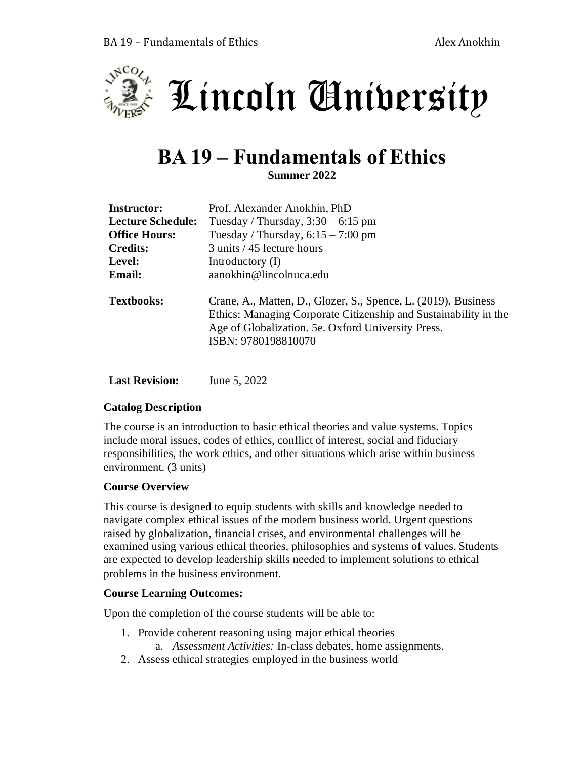



# **BA 19 – Fundamentals of Ethics**

**Summer 2022**

| <b>Instructor:</b>       | Prof. Alexander Anokhin, PhD                                                                                                                                                                                    |  |  |  |
|--------------------------|-----------------------------------------------------------------------------------------------------------------------------------------------------------------------------------------------------------------|--|--|--|
| <b>Lecture Schedule:</b> | Tuesday / Thursday, $3:30 - 6:15$ pm                                                                                                                                                                            |  |  |  |
| <b>Office Hours:</b>     | Tuesday / Thursday, $6:15 - 7:00$ pm                                                                                                                                                                            |  |  |  |
| <b>Credits:</b>          | 3 units / 45 lecture hours                                                                                                                                                                                      |  |  |  |
| Level:                   | Introductory $(I)$                                                                                                                                                                                              |  |  |  |
| <b>Email:</b>            | aanokhin@lincolnuca.edu                                                                                                                                                                                         |  |  |  |
| <b>Textbooks:</b>        | Crane, A., Matten, D., Glozer, S., Spence, L. (2019). Business<br>Ethics: Managing Corporate Citizenship and Sustainability in the<br>Age of Globalization. 5e. Oxford University Press.<br>ISBN: 9780198810070 |  |  |  |

**Last Revision:** June 5, 2022

# **Catalog Description**

The course is an introduction to basic ethical theories and value systems. Topics include moral issues, codes of ethics, conflict of interest, social and fiduciary responsibilities, the work ethics, and other situations which arise within business environment. (3 units)

#### **Course Overview**

This course is designed to equip students with skills and knowledge needed to navigate complex ethical issues of the modern business world. Urgent questions raised by globalization, financial crises, and environmental challenges will be examined using various ethical theories, philosophies and systems of values. Students are expected to develop leadership skills needed to implement solutions to ethical problems in the business environment.

# **Course Learning Outcomes:**

Upon the completion of the course students will be able to:

- 1. Provide coherent reasoning using major ethical theories a. *Assessment Activities:* In-class debates, home assignments.
- 2. Assess ethical strategies employed in the business world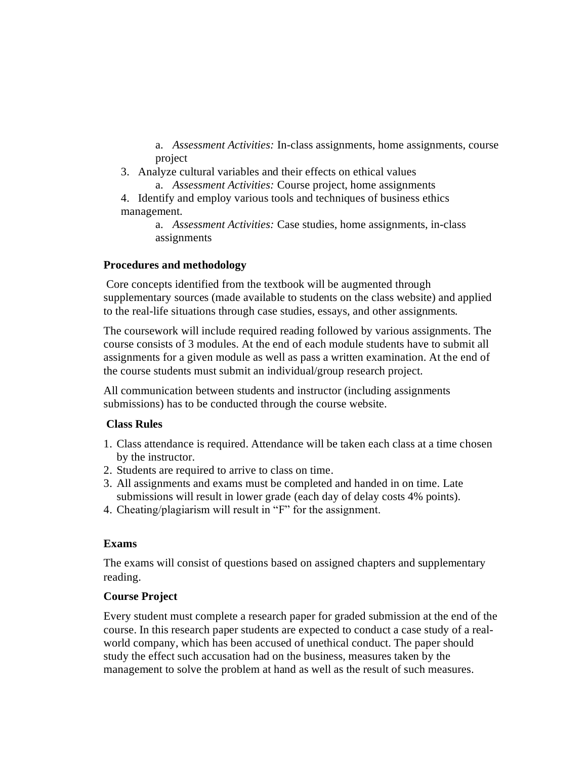a. *Assessment Activities:* In-class assignments, home assignments, course project

- 3. Analyze cultural variables and their effects on ethical values
- a. *Assessment Activities:* Course project, home assignments

4. Identify and employ various tools and techniques of business ethics management.

> a. *Assessment Activities:* Case studies, home assignments, in-class assignments

## **Procedures and methodology**

Core concepts identified from the textbook will be augmented through supplementary sources (made available to students on the class website) and applied to the real-life situations through case studies, essays, and other assignments.

The coursework will include required reading followed by various assignments. The course consists of 3 modules. At the end of each module students have to submit all assignments for a given module as well as pass a written examination. At the end of the course students must submit an individual/group research project.

All communication between students and instructor (including assignments submissions) has to be conducted through the course website.

# **Class Rules**

- 1. Class attendance is required. Attendance will be taken each class at a time chosen by the instructor.
- 2. Students are required to arrive to class on time.
- 3. All assignments and exams must be completed and handed in on time. Late submissions will result in lower grade (each day of delay costs 4% points).
- 4. Cheating/plagiarism will result in "F" for the assignment.

#### **Exams**

The exams will consist of questions based on assigned chapters and supplementary reading.

#### **Course Project**

Every student must complete a research paper for graded submission at the end of the course. In this research paper students are expected to conduct a case study of a realworld company, which has been accused of unethical conduct. The paper should study the effect such accusation had on the business, measures taken by the management to solve the problem at hand as well as the result of such measures.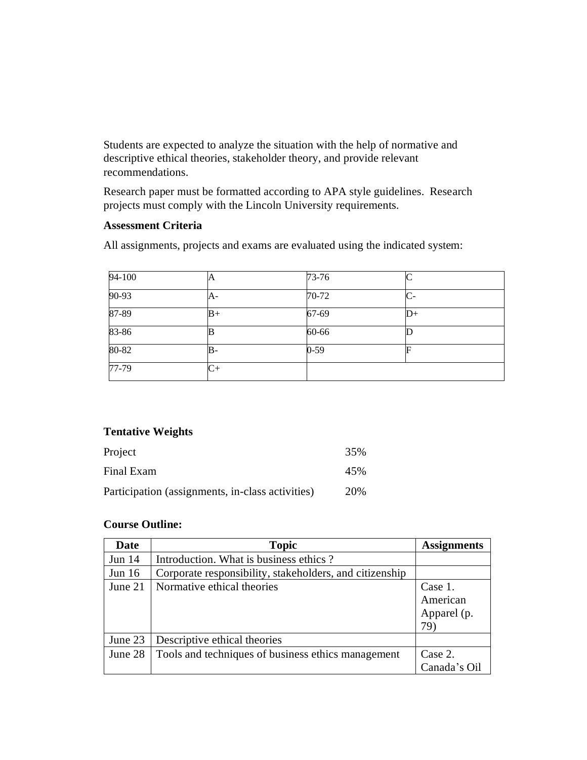Students are expected to analyze the situation with the help of normative and descriptive ethical theories, stakeholder theory, and provide relevant recommendations.

Research paper must be formatted according to APA style guidelines. Research projects must comply with the Lincoln University requirements.

#### **Assessment Criteria**

All assignments, projects and exams are evaluated using the indicated system:

| 94-100  | A    | $73 - 76$ |    |
|---------|------|-----------|----|
| 90-93   | A-   | $70-72$   | С- |
| 87-89   | $B+$ | 67-69     | D+ |
| 83-86   |      | 60-66     |    |
| 80-82   | B-   | $0 - 59$  | F  |
| $77-79$ | C+   |           |    |

## **Tentative Weights**

| Project                                          | 35% |
|--------------------------------------------------|-----|
| Final Exam                                       | 45% |
| Participation (assignments, in-class activities) | 20% |

## **Course Outline:**

| Date     | <b>Topic</b>                                            | <b>Assignments</b> |
|----------|---------------------------------------------------------|--------------------|
| Jun $14$ | Introduction. What is business ethics?                  |                    |
| Jun $16$ | Corporate responsibility, stakeholders, and citizenship |                    |
| June 21  | Normative ethical theories                              | Case 1.            |
|          |                                                         | American           |
|          |                                                         | Apparel (p.        |
|          |                                                         | 79)                |
| June 23  | Descriptive ethical theories                            |                    |
| June 28  | Tools and techniques of business ethics management      | Case 2.            |
|          |                                                         | Canada's Oil       |